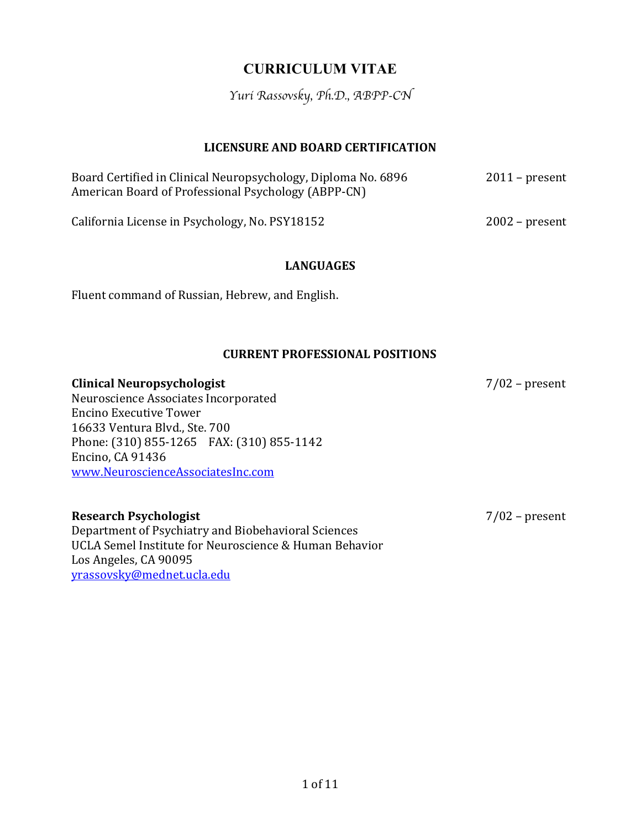# **CURRICULUM VITAE**

*Yuri Rassovsky, Ph.D., ABPP-CN*

#### **LICENSURE AND BOARD CERTIFICATION**

| Board Certified in Clinical Neuropsychology, Diploma No. 6896<br>American Board of Professional Psychology (ABPP-CN) | $2011$ – present |  |
|----------------------------------------------------------------------------------------------------------------------|------------------|--|
| California License in Psychology, No. PSY18152                                                                       | $2002$ – present |  |

#### **LANGUAGES**

Fluent command of Russian, Hebrew, and English.

#### **CURRENT PROFESSIONAL POSITIONS**

**Clinical Neuropsychologist** 7/02 – present Neuroscience Associates Incorporated Encino Executive Tower 16633 Ventura Blvd., Ste. 700 Phone: (310) 855-1265 FAX: (310) 855-1142 Encino, CA 91436 www.NeuroscienceAssociatesInc.com

## **Research Psychologist** 7/02 – present

Department of Psychiatry and Biobehavioral Sciences UCLA Semel Institute for Neuroscience & Human Behavior Los Angeles, CA 90095 yrassovsky@mednet.ucla.edu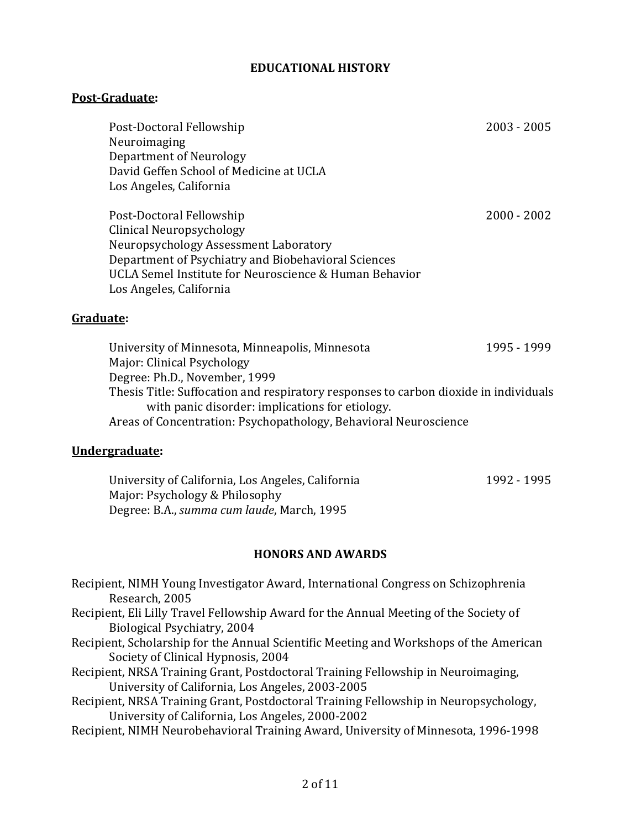#### **EDUCATIONAL HISTORY**

#### **Post-Graduate:**

|           | Post-Doctoral Fellowship<br>Neuroimaging<br>Department of Neurology<br>David Geffen School of Medicine at UCLA<br>Los Angeles, California                                                                                                    | $2003 - 2005$ |
|-----------|----------------------------------------------------------------------------------------------------------------------------------------------------------------------------------------------------------------------------------------------|---------------|
|           | Post-Doctoral Fellowship<br>Clinical Neuropsychology<br>Neuropsychology Assessment Laboratory<br>Department of Psychiatry and Biobehavioral Sciences<br>UCLA Semel Institute for Neuroscience & Human Behavior<br>Los Angeles, California    | $2000 - 2002$ |
| Graduate: |                                                                                                                                                                                                                                              |               |
|           | University of Minnesota, Minneapolis, Minnesota<br>Major: Clinical Psychology                                                                                                                                                                | 1995 - 1999   |
|           | Degree: Ph.D., November, 1999<br>Thesis Title: Suffocation and respiratory responses to carbon dioxide in individuals<br>with panic disorder: implications for etiology.<br>Arose of Concontration: Devchanathology, Robavioral Nourosciance |               |

Areas of Concentration: Psychopathology, Behavioral Neuroscience

# **Undergraduate:**

| University of California, Los Angeles, California  | 1992 - 1995 |
|----------------------------------------------------|-------------|
| Major: Psychology & Philosophy                     |             |
| Degree: B.A., <i>summa cum laude</i> , March, 1995 |             |

# **HONORS AND AWARDS**

Recipient, NIMH Young Investigator Award, International Congress on Schizophrenia Research, 2005 Recipient, Eli Lilly Travel Fellowship Award for the Annual Meeting of the Society of Biological Psychiatry, 2004 Recipient, Scholarship for the Annual Scientific Meeting and Workshops of the American Society of Clinical Hypnosis, 2004 Recipient, NRSA Training Grant, Postdoctoral Training Fellowship in Neuroimaging, University of California, Los Angeles, 2003-2005 Recipient, NRSA Training Grant, Postdoctoral Training Fellowship in Neuropsychology, University of California, Los Angeles, 2000-2002 Recipient, NIMH Neurobehavioral Training Award, University of Minnesota, 1996-1998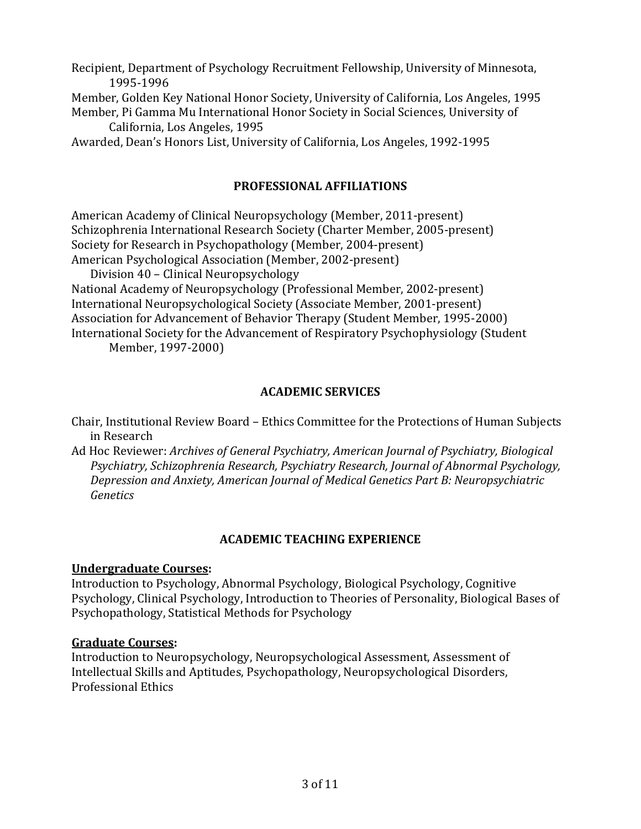Recipient, Department of Psychology Recruitment Fellowship, University of Minnesota, 1995-1996

Member, Golden Key National Honor Society, University of California, Los Angeles, 1995 Member, Pi Gamma Mu International Honor Society in Social Sciences, University of California, Los Angeles, 1995

Awarded, Dean's Honors List, University of California, Los Angeles, 1992-1995

## **PROFESSIONAL AFFILIATIONS**

American Academy of Clinical Neuropsychology (Member, 2011-present) Schizophrenia International Research Society (Charter Member, 2005-present) Society for Research in Psychopathology (Member, 2004-present) American Psychological Association (Member, 2002-present)

Division 40 - Clinical Neuropsychology

National Academy of Neuropsychology (Professional Member, 2002-present) International Neuropsychological Society (Associate Member, 2001-present) Association for Advancement of Behavior Therapy (Student Member, 1995-2000) International Society for the Advancement of Respiratory Psychophysiology (Student Member, 1997-2000)

## **ACADEMIC SERVICES**

Chair, Institutional Review Board - Ethics Committee for the Protections of Human Subjects in Research

Ad Hoc Reviewer: *Archives of General Psychiatry, American Journal of Psychiatry, Biological* Psychiatry, Schizophrenia Research, Psychiatry Research, Journal of Abnormal Psychology, *Depression and Anxiety, American Journal of Medical Genetics Part B: Neuropsychiatric Genetics*

## **ACADEMIC TEACHING EXPERIENCE**

#### **Undergraduate Courses:**

Introduction to Psychology, Abnormal Psychology, Biological Psychology, Cognitive Psychology, Clinical Psychology, Introduction to Theories of Personality, Biological Bases of Psychopathology, Statistical Methods for Psychology

## **Graduate Courses:**

Introduction to Neuropsychology, Neuropsychological Assessment, Assessment of Intellectual Skills and Aptitudes, Psychopathology, Neuropsychological Disorders, Professional Ethics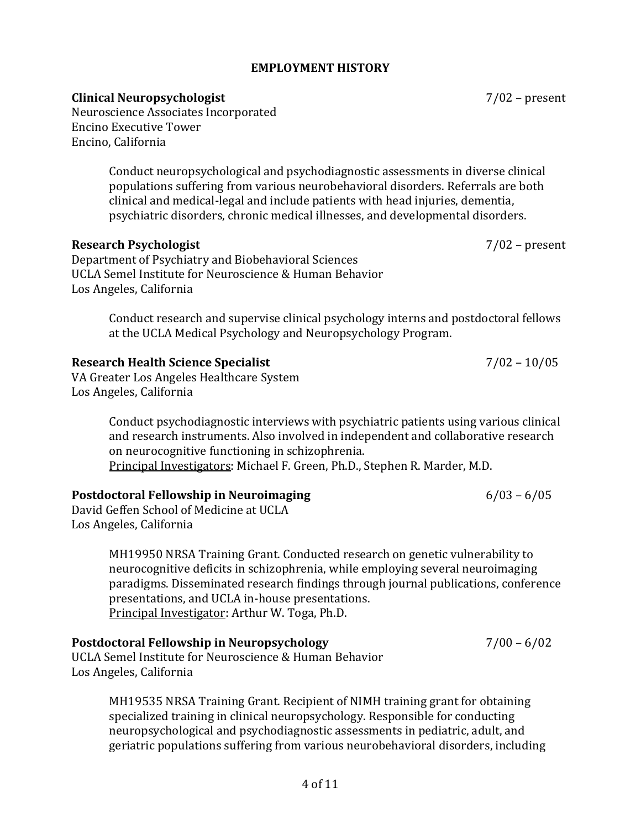#### **EMPLOYMENT HISTORY**

#### **Clinical Neuropsychologist** 7/02 – present

Neuroscience Associates Incorporated Encino Executive Tower Encino, California

> Conduct neuropsychological and psychodiagnostic assessments in diverse clinical populations suffering from various neurobehavioral disorders. Referrals are both clinical and medical-legal and include patients with head injuries, dementia, psychiatric disorders, chronic medical illnesses, and developmental disorders.

#### **Research Psychologist** 7/02 – present

Department of Psychiatry and Biobehavioral Sciences UCLA Semel Institute for Neuroscience & Human Behavior Los Angeles, California

> Conduct research and supervise clinical psychology interns and postdoctoral fellows at the UCLA Medical Psychology and Neuropsychology Program.

#### **Research Health Science Specialist** 7/02 - 10/05

VA Greater Los Angeles Healthcare System Los Angeles, California

> Conduct psychodiagnostic interviews with psychiatric patients using various clinical and research instruments. Also involved in independent and collaborative research on neurocognitive functioning in schizophrenia. Principal Investigators: Michael F. Green, Ph.D., Stephen R. Marder, M.D.

#### **Postdoctoral Fellowship in Neuroimaging** 6/03 - 6/05

David Geffen School of Medicine at UCLA Los Angeles, California

> MH19950 NRSA Training Grant. Conducted research on genetic vulnerability to neurocognitive deficits in schizophrenia, while employing several neuroimaging paradigms. Disseminated research findings through journal publications, conference presentations, and UCLA in-house presentations. Principal Investigator: Arthur W. Toga, Ph.D.

## **Postdoctoral Fellowship in Neuropsychology** 7/00 - 6/02

UCLA Semel Institute for Neuroscience & Human Behavior Los Angeles, California

> MH19535 NRSA Training Grant. Recipient of NIMH training grant for obtaining specialized training in clinical neuropsychology. Responsible for conducting neuropsychological and psychodiagnostic assessments in pediatric, adult, and geriatric populations suffering from various neurobehavioral disorders, including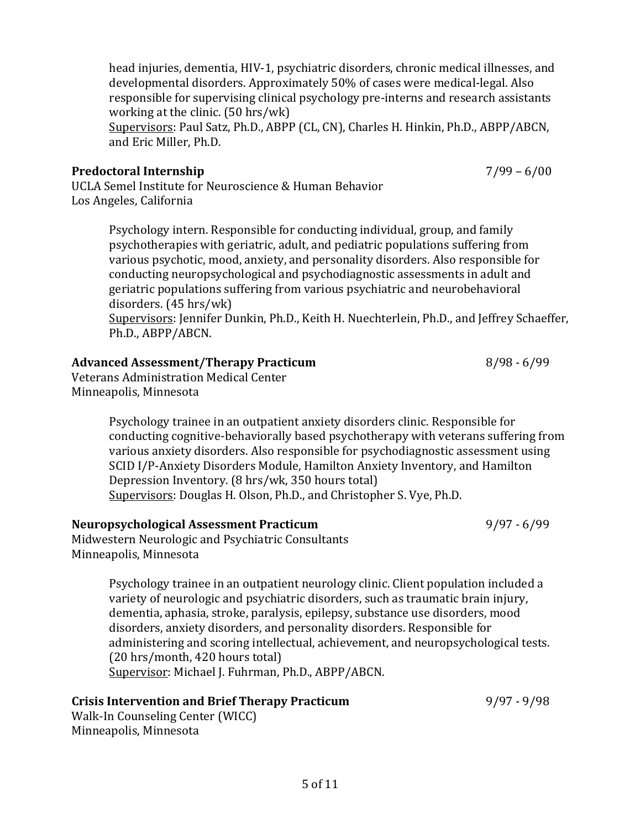head injuries, dementia, HIV-1, psychiatric disorders, chronic medical illnesses, and developmental disorders. Approximately 50% of cases were medical-legal. Also responsible for supervising clinical psychology pre-interns and research assistants working at the clinic.  $(50 \text{ hrs}/\text{wk})$ 

Supervisors: Paul Satz, Ph.D., ABPP (CL, CN), Charles H. Hinkin, Ph.D., ABPP/ABCN, and Eric Miller, Ph.D.

## **Predoctoral Internship** 7/99 – 6/00

UCLA Semel Institute for Neuroscience & Human Behavior Los Angeles, California

> Psychology intern. Responsible for conducting individual, group, and family psychotherapies with geriatric, adult, and pediatric populations suffering from various psychotic, mood, anxiety, and personality disorders. Also responsible for conducting neuropsychological and psychodiagnostic assessments in adult and geriatric populations suffering from various psychiatric and neurobehavioral disorders. (45 hrs/wk) Supervisors: Jennifer Dunkin, Ph.D., Keith H. Nuechterlein, Ph.D., and Jeffrey Schaeffer,

> Ph.D., ABPP/ABCN.

# Advanced Assessment/Therapy Practicum and all the state of  $\frac{8}{98} - \frac{6}{99}$

Veterans Administration Medical Center Minneapolis, Minnesota

> Psychology trainee in an outpatient anxiety disorders clinic. Responsible for conducting cognitive-behaviorally based psychotherapy with veterans suffering from various anxiety disorders. Also responsible for psychodiagnostic assessment using SCID I/P-Anxiety Disorders Module, Hamilton Anxiety Inventory, and Hamilton Depression Inventory. (8 hrs/wk, 350 hours total) Supervisors: Douglas H. Olson, Ph.D., and Christopher S. Vye, Ph.D.

## **Neuropsychological Assessment Practicum** 9/97 - 6/99

Midwestern Neurologic and Psychiatric Consultants Minneapolis, Minnesota

> Psychology trainee in an outpatient neurology clinic. Client population included a variety of neurologic and psychiatric disorders, such as traumatic brain injury, dementia, aphasia, stroke, paralysis, epilepsy, substance use disorders, mood disorders, anxiety disorders, and personality disorders. Responsible for administering and scoring intellectual, achievement, and neuropsychological tests. (20 hrs/month, 420 hours total) Supervisor: Michael J. Fuhrman, Ph.D., ABPP/ABCN.

## **Crisis Intervention and Brief Therapy Practicum** 9/97 - 9/98

Walk-In Counseling Center (WICC) Minneapolis, Minnesota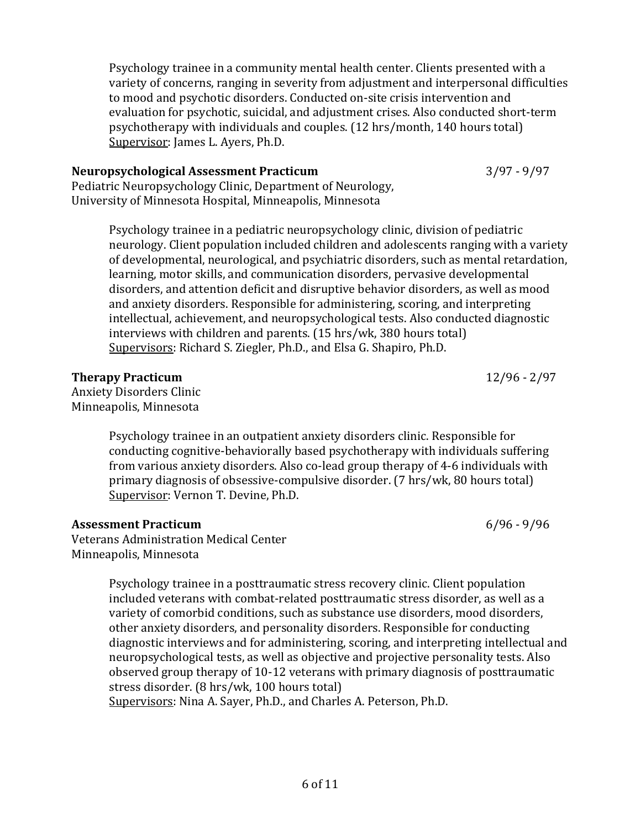Psychology trainee in a community mental health center. Clients presented with a variety of concerns, ranging in severity from adjustment and interpersonal difficulties to mood and psychotic disorders. Conducted on-site crisis intervention and evaluation for psychotic, suicidal, and adjustment crises. Also conducted short-term psychotherapy with individuals and couples. (12 hrs/month, 140 hours total) Supervisor: James L. Ayers, Ph.D.

#### **Neuropsychological Assessment Practicum** 3/97 - 9/97

Pediatric Neuropsychology Clinic, Department of Neurology, University of Minnesota Hospital, Minneapolis, Minnesota

> Psychology trainee in a pediatric neuropsychology clinic, division of pediatric neurology. Client population included children and adolescents ranging with a variety of developmental, neurological, and psychiatric disorders, such as mental retardation, learning, motor skills, and communication disorders, pervasive developmental disorders, and attention deficit and disruptive behavior disorders, as well as mood and anxiety disorders. Responsible for administering, scoring, and interpreting intellectual, achievement, and neuropsychological tests. Also conducted diagnostic interviews with children and parents.  $(15 \text{ hrs/wk}, 380 \text{ hours total})$ Supervisors: Richard S. Ziegler, Ph.D., and Elsa G. Shapiro, Ph.D.

**Therapy Practicum** 12/96 - 2/97 Anxiety Disorders Clinic

Minneapolis, Minnesota

Psychology trainee in an outpatient anxiety disorders clinic. Responsible for conducting cognitive-behaviorally based psychotherapy with individuals suffering from various anxiety disorders. Also co-lead group therapy of 4-6 individuals with primary diagnosis of obsessive-compulsive disorder. (7 hrs/wk, 80 hours total) Supervisor: Vernon T. Devine, Ph.D.

## **Assessment Practicum** 6/96 - 9/96

Veterans Administration Medical Center Minneapolis, Minnesota

> Psychology trainee in a posttraumatic stress recovery clinic. Client population included veterans with combat-related posttraumatic stress disorder, as well as a variety of comorbid conditions, such as substance use disorders, mood disorders, other anxiety disorders, and personality disorders. Responsible for conducting diagnostic interviews and for administering, scoring, and interpreting intellectual and neuropsychological tests, as well as objective and projective personality tests. Also observed group therapy of 10-12 veterans with primary diagnosis of posttraumatic stress disorder. (8 hrs/wk, 100 hours total) Supervisors: Nina A. Sayer, Ph.D., and Charles A. Peterson, Ph.D.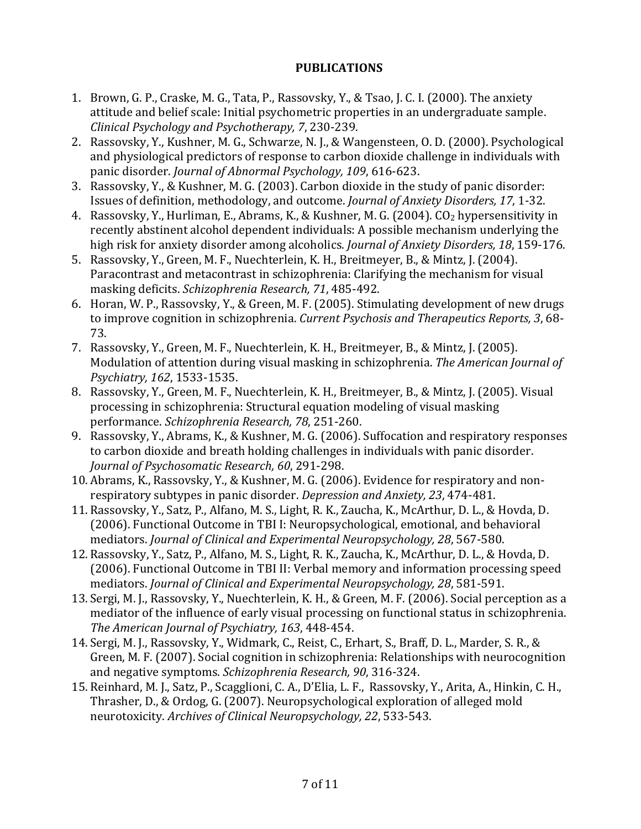## **PUBLICATIONS**

- 1. Brown, G. P., Craske, M. G., Tata, P., Rassovsky, Y., & Tsao, J. C. I. (2000). The anxiety attitude and belief scale: Initial psychometric properties in an undergraduate sample. *Clinical Psychology and Psychotherapy, 7*, 230-239.
- 2. Rassovsky, Y., Kushner, M. G., Schwarze, N. J., & Wangensteen, O. D. (2000). Psychological and physiological predictors of response to carbon dioxide challenge in individuals with panic disorder. *Journal of Abnormal Psychology, 109, 616-623.*
- 3. Rassovsky, Y., & Kushner, M. G. (2003). Carbon dioxide in the study of panic disorder: Issues of definition, methodology, and outcome. *Journal of Anxiety Disorders, 17*, 1-32.
- 4. Rassovsky, Y., Hurliman, E., Abrams, K., & Kushner, M. G. (2004).  $CO<sub>2</sub>$  hypersensitivity in recently abstinent alcohol dependent individuals: A possible mechanism underlying the high risk for anxiety disorder among alcoholics. *Journal of Anxiety Disorders, 18*, 159-176.
- 5. Rassovsky, Y., Green, M. F., Nuechterlein, K. H., Breitmeyer, B., & Mintz, J. (2004). Paracontrast and metacontrast in schizophrenia: Clarifying the mechanism for visual masking deficits. *Schizophrenia Research, 71*, 485-492.
- 6. Horan, W. P., Rassovsky, Y., & Green, M. F. (2005). Stimulating development of new drugs to improve cognition in schizophrenia. *Current Psychosis and Therapeutics Reports, 3,68-*73.
- 7. Rassovsky, Y., Green, M. F., Nuechterlein, K. H., Breitmeyer, B., & Mintz, J. (2005). Modulation of attention during visual masking in schizophrenia. The American Journal of *Psychiatry, 162*, 1533-1535.
- 8. Rassovsky, Y., Green, M. F., Nuechterlein, K. H., Breitmeyer, B., & Mintz, J. (2005). Visual processing in schizophrenia: Structural equation modeling of visual masking performance. *Schizophrenia Research, 78*, 251-260.
- 9. Rassovsky, Y., Abrams, K., & Kushner, M. G. (2006). Suffocation and respiratory responses to carbon dioxide and breath holding challenges in individuals with panic disorder. Journal of Psychosomatic Research, 60, 291-298.
- 10. Abrams, K., Rassovsky, Y., & Kushner, M. G. (2006). Evidence for respiratory and nonrespiratory subtypes in panic disorder. *Depression and Anxiety, 23, 474-481*.
- 11. Rassovsky, Y., Satz, P., Alfano, M. S., Light, R. K., Zaucha, K., McArthur, D. L., & Hovda, D. (2006). Functional Outcome in TBI I: Neuropsychological, emotional, and behavioral mediators. *Journal of Clinical and Experimental Neuropsychology, 28*, 567-580.
- 12. Rassovsky, Y., Satz, P., Alfano, M. S., Light, R. K., Zaucha, K., McArthur, D. L., & Hovda, D. (2006). Functional Outcome in TBI II: Verbal memory and information processing speed mediators. *Journal of Clinical and Experimental Neuropsychology, 28,* 581-591.
- 13. Sergi, M. J., Rassovsky, Y., Nuechterlein, K. H., & Green, M. F. (2006). Social perception as a mediator of the influence of early visual processing on functional status in schizophrenia. The American Journal of Psychiatry, 163, 448-454.
- 14. Sergi, M. J., Rassovsky, Y., Widmark, C., Reist, C., Erhart, S., Braff, D. L., Marder, S. R., & Green, M. F. (2007). Social cognition in schizophrenia: Relationships with neurocognition and negative symptoms. *Schizophrenia Research*, 90, 316-324.
- 15. Reinhard, M. J., Satz, P., Scagglioni, C. A., D'Elia, L. F., Rassovsky, Y., Arita, A., Hinkin, C. H., Thrasher, D., & Ordog, G. (2007). Neuropsychological exploration of alleged mold neurotoxicity. Archives of Clinical Neuropsychology, 22, 533-543.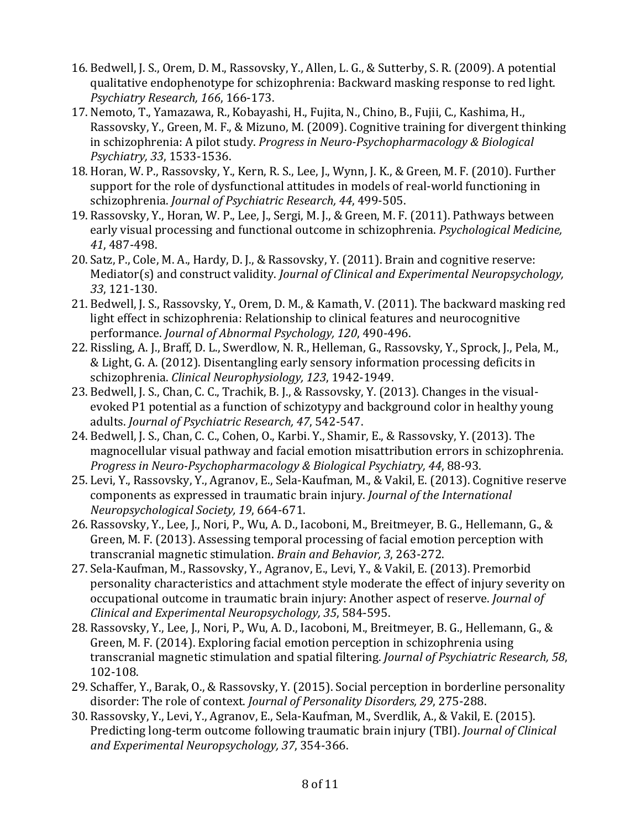- 16. Bedwell, J. S., Orem, D. M., Rassovsky, Y., Allen, L. G., & Sutterby, S. R. (2009). A potential qualitative endophenotype for schizophrenia: Backward masking response to red light. *Psychiatry Research, 166*, 166-173.
- 17. Nemoto, T., Yamazawa, R., Kobayashi, H., Fujita, N., Chino, B., Fujii, C., Kashima, H., Rassovsky, Y., Green, M. F., & Mizuno, M. (2009). Cognitive training for divergent thinking in schizophrenia: A pilot study. *Progress in Neuro-Psychopharmacology & Biological Psychiatry, 33*, 1533-1536.
- 18. Horan, W. P., Rassovsky, Y., Kern, R. S., Lee, J., Wynn, J. K., & Green, M. F. (2010). Further support for the role of dysfunctional attitudes in models of real-world functioning in schizophrenia. *Journal of Psychiatric Research, 44, 499-505.*
- 19. Rassovsky, Y., Horan, W. P., Lee, J., Sergi, M. J., & Green, M. F. (2011). Pathways between early visual processing and functional outcome in schizophrenia. *Psychological Medicine*, *41*, 487-498.
- 20. Satz, P., Cole, M. A., Hardy, D. J., & Rassovsky, Y. (2011). Brain and cognitive reserve: Mediator(s) and construct validity. *Journal of Clinical and Experimental Neuropsychology*, *33*, 121-130.
- 21. Bedwell, J. S., Rassovsky, Y., Orem, D. M., & Kamath, V. (2011). The backward masking red light effect in schizophrenia: Relationship to clinical features and neurocognitive performance. *Journal of Abnormal Psychology*, 120, 490-496.
- 22. Rissling, A. J., Braff, D. L., Swerdlow, N. R., Helleman, G., Rassovsky, Y., Sprock, J., Pela, M., & Light, G. A. (2012). Disentangling early sensory information processing deficits in schizophrenia. *Clinical Neurophysiology*, 123, 1942-1949.
- 23. Bedwell, J. S., Chan, C. C., Trachik, B. J., & Rassovsky, Y. (2013). Changes in the visualevoked P1 potential as a function of schizotypy and background color in healthy young adults. *Journal of Psychiatric Research*, 47, 542-547.
- 24. Bedwell, J. S., Chan, C. C., Cohen, O., Karbi. Y., Shamir, E., & Rassovsky, Y. (2013). The magnocellular visual pathway and facial emotion misattribution errors in schizophrenia. *Progress in Neuro-Psychopharmacology & Biological Psychiatry, 44, 88-93.*
- 25. Levi, Y., Rassovsky, Y., Agranov, E., Sela-Kaufman, M., & Vakil, E. (2013). Cognitive reserve components as expressed in traumatic brain injury. *Journal of the International Neuropsychological Society, 19*, 664-671.
- 26. Rassovsky, Y., Lee, J., Nori, P., Wu, A. D., Iacoboni, M., Breitmeyer, B. G., Hellemann, G., & Green, M. F. (2013). Assessing temporal processing of facial emotion perception with transcranial magnetic stimulation. *Brain and Behavior*, 3, 263-272.
- 27. Sela-Kaufman, M., Rassovsky, Y., Agranov, E., Levi, Y., & Vakil, E. (2013). Premorbid personality characteristics and attachment style moderate the effect of injury severity on occupational outcome in traumatic brain injury: Another aspect of reserve. *Journal of Clinical and Experimental Neuropsychology, 35*, 584-595.
- 28. Rassovsky, Y., Lee, J., Nori, P., Wu, A. D., Iacoboni, M., Breitmeyer, B. G., Hellemann, G., & Green, M. F. (2014). Exploring facial emotion perception in schizophrenia using transcranial magnetic stimulation and spatial filtering. *Journal of Psychiatric Research*, 58, 102-108.
- 29. Schaffer, Y., Barak, O., & Rassovsky, Y. (2015). Social perception in borderline personality disorder: The role of context. *Journal of Personality Disorders, 29*, 275-288.
- 30. Rassovsky, Y., Levi, Y., Agranov, E., Sela-Kaufman, M., Sverdlik, A., & Vakil, E. (2015). Predicting long-term outcome following traumatic brain injury (TBI). *Journal of Clinical and Experimental Neuropsychology, 37*, 354-366.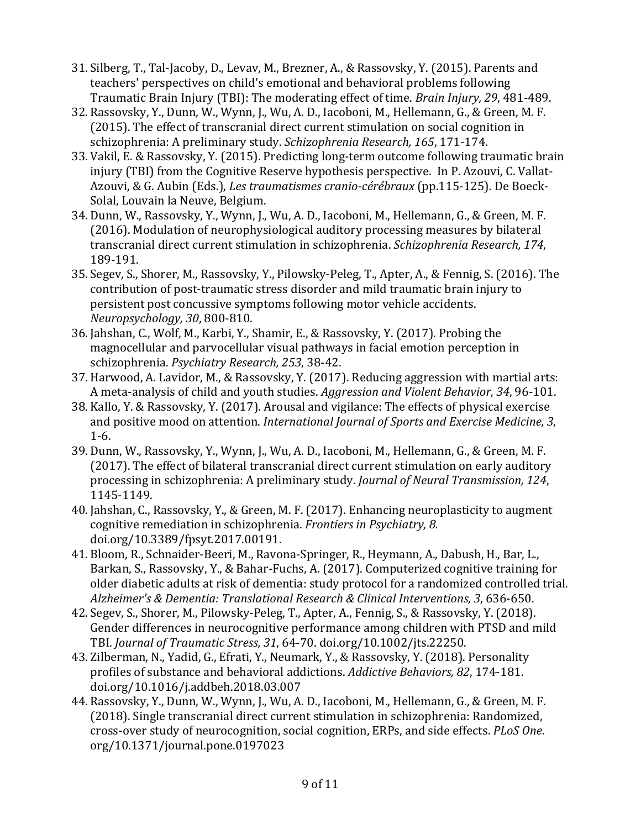- 31. Silberg, T., Tal-Jacoby, D., Levav, M., Brezner, A., & Rassovsky, Y. (2015). Parents and teachers' perspectives on child's emotional and behavioral problems following Traumatic Brain Injury (TBI): The moderating effect of time. *Brain Injury, 29, 481-489*.
- 32. Rassovsky, Y., Dunn, W., Wynn, J., Wu, A. D., Iacoboni, M., Hellemann, G., & Green, M. F. (2015). The effect of transcranial direct current stimulation on social cognition in schizophrenia: A preliminary study. *Schizophrenia Research*, 165, 171-174.
- 33. Vakil, E. & Rassovsky, Y. (2015). Predicting long-term outcome following traumatic brain injury (TBI) from the Cognitive Reserve hypothesis perspective. In P. Azouvi, C. Vallat-Azouvi, & G. Aubin (Eds.), *Les traumatismes cranio-cérébraux* (pp.115-125). De Boeck-Solal, Louvain la Neuve, Belgium.
- 34. Dunn, W., Rassovsky, Y., Wynn, J., Wu, A. D., Iacoboni, M., Hellemann, G., & Green, M. F. (2016). Modulation of neurophysiological auditory processing measures by bilateral transcranial direct current stimulation in schizophrenia. *Schizophrenia Research*, 174, 189-191.
- 35. Segev, S., Shorer, M., Rassovsky, Y., Pilowsky-Peleg, T., Apter, A., & Fennig, S. (2016). The contribution of post-traumatic stress disorder and mild traumatic brain injury to persistent post concussive symptoms following motor vehicle accidents. *Neuropsychology, 30*, 800-810.
- 36. Jahshan, C., Wolf, M., Karbi, Y., Shamir, E., & Rassovsky, Y. (2017). Probing the magnocellular and parvocellular visual pathways in facial emotion perception in schizophrenia. *Psychiatry Research, 253*, 38-42.
- 37. Harwood, A. Lavidor, M., & Rassovsky, Y. (2017). Reducing aggression with martial arts: A meta-analysis of child and youth studies. *Aggression and Violent Behavior*, 34, 96-101.
- 38. Kallo, Y. & Rassovsky, Y. (2017). Arousal and vigilance: The effects of physical exercise and positive mood on attention. *International Journal of Sports and Exercise Medicine*, 3, 1-6.
- 39. Dunn, W., Rassovsky, Y., Wynn, J., Wu, A. D., Iacoboni, M., Hellemann, G., & Green, M. F. (2017). The effect of bilateral transcranial direct current stimulation on early auditory processing in schizophrenia: A preliminary study. *Journal of Neural Transmission, 124*, 1145-1149.
- 40. Jahshan, C., Rassovsky, Y., & Green, M. F. (2017). Enhancing neuroplasticity to augment cognitive remediation in schizophrenia. *Frontiers in Psychiatry, 8.* doi.org/10.3389/fpsyt.2017.00191.
- 41. Bloom, R., Schnaider-Beeri, M., Ravona-Springer, R., Heymann, A., Dabush, H., Bar, L., Barkan, S., Rassovsky, Y., & Bahar-Fuchs, A. (2017). Computerized cognitive training for older diabetic adults at risk of dementia: study protocol for a randomized controlled trial. Alzheimer's & Dementia: Translational Research & Clinical Interventions, 3, 636-650.
- 42. Segev, S., Shorer, M., Pilowsky-Peleg, T., Apter, A., Fennig, S., & Rassovsky, Y. (2018). Gender differences in neurocognitive performance among children with PTSD and mild TBI. *Journal of Traumatic Stress, 31, 64-70.* doi.org/10.1002/jts.22250.
- 43. Zilberman, N., Yadid, G., Efrati, Y., Neumark, Y., & Rassovsky, Y. (2018). Personality profiles of substance and behavioral addictions. Addictive Behaviors, 82, 174-181. doi.org/10.1016/j.addbeh.2018.03.007
- 44. Rassovsky, Y., Dunn, W., Wynn, J., Wu, A. D., Iacoboni, M., Hellemann, G., & Green, M. F. (2018). Single transcranial direct current stimulation in schizophrenia: Randomized, cross-over study of neurocognition, social cognition, ERPs, and side effects. *PLoS One*. org/10.1371/journal.pone.0197023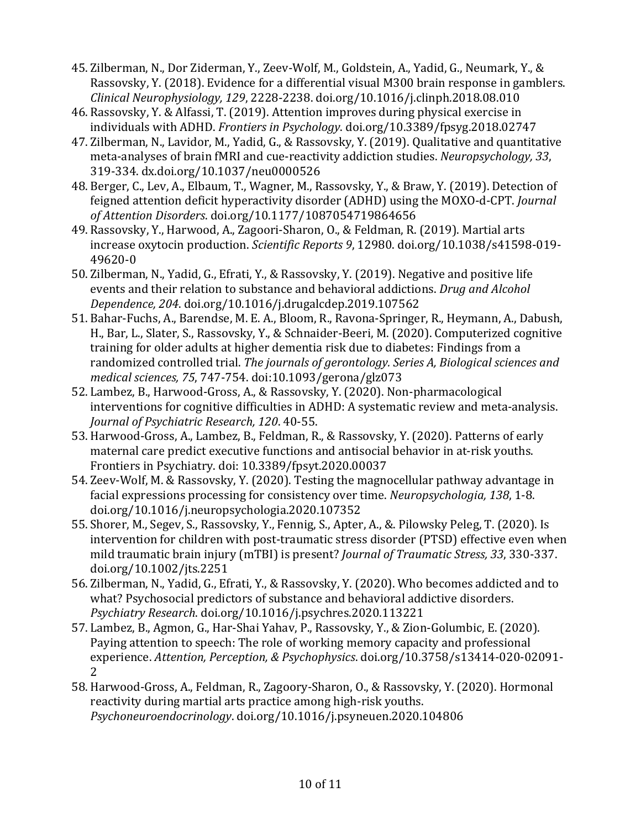- 45. Zilberman, N., Dor Ziderman, Y., Zeev-Wolf, M., Goldstein, A., Yadid, G., Neumark, Y., & Rassovsky, Y. (2018). Evidence for a differential visual M300 brain response in gamblers. *Clinical Neurophysiology, 129*, 2228-2238. doi.org/10.1016/j.clinph.2018.08.010
- 46. Rassovsky, Y. & Alfassi, T. (2019). Attention improves during physical exercise in individuals with ADHD. *Frontiers in Psychology*. doi.org/10.3389/fpsyg.2018.02747
- 47. Zilberman, N., Lavidor, M., Yadid, G., & Rassovsky, Y. (2019). Qualitative and quantitative meta-analyses of brain fMRI and cue-reactivity addiction studies. *Neuropsychology*, 33, 319-334. dx.doi.org/10.1037/neu0000526
- 48. Berger, C., Lev, A., Elbaum, T., Wagner, M., Rassovsky, Y., & Braw, Y. (2019). Detection of feigned attention deficit hyperactivity disorder (ADHD) using the MOXO-d-CPT. *Journal of Attention Disorders*. doi.org/10.1177/1087054719864656
- 49. Rassovsky, Y., Harwood, A., Zagoori-Sharon, O., & Feldman, R. (2019). Martial arts increase oxytocin production. *Scientific Reports* 9, 12980. doi.org/10.1038/s41598-019-49620-0
- 50. Zilberman, N., Yadid, G., Efrati, Y., & Rassovsky, Y. (2019). Negative and positive life events and their relation to substance and behavioral addictions. *Drug and Alcohol Dependence, 204*. doi.org/10.1016/j.drugalcdep.2019.107562
- 51. Bahar-Fuchs, A., Barendse, M. E. A., Bloom, R., Ravona-Springer, R., Heymann, A., Dabush, H., Bar, L., Slater, S., Rassovsky, Y., & Schnaider-Beeri, M. (2020). Computerized cognitive training for older adults at higher dementia risk due to diabetes: Findings from a randomized controlled trial. The journals of gerontology. Series A, Biological sciences and *medical sciences, 75*, 747-754. doi:10.1093/gerona/glz073
- 52. Lambez, B., Harwood-Gross, A., & Rassovsky, Y. (2020). Non-pharmacological interventions for cognitive difficulties in ADHD: A systematic review and meta-analysis. *Journal of Psychiatric Research, 120*. 40-55.
- 53. Harwood-Gross, A., Lambez, B., Feldman, R., & Rassovsky, Y. (2020). Patterns of early maternal care predict executive functions and antisocial behavior in at-risk youths. Frontiers in Psychiatry. doi: 10.3389/fpsyt.2020.00037
- 54. Zeev-Wolf, M. & Rassovsky, Y. (2020). Testing the magnocellular pathway advantage in facial expressions processing for consistency over time. *Neuropsychologia*, 138, 1-8. doi.org/10.1016/j.neuropsychologia.2020.107352
- 55. Shorer, M., Segev, S., Rassovsky, Y., Fennig, S., Apter, A., &. Pilowsky Peleg, T. (2020). Is intervention for children with post-traumatic stress disorder (PTSD) effective even when mild traumatic brain injury (mTBI) is present? *Journal of Traumatic Stress, 33, 330-337.* doi.org/10.1002/jts.2251
- 56. Zilberman, N., Yadid, G., Efrati, Y., & Rassovsky, Y. (2020). Who becomes addicted and to what? Psychosocial predictors of substance and behavioral addictive disorders. *Psychiatry Research*. doi.org/10.1016/j.psychres.2020.113221
- 57. Lambez, B., Agmon, G., Har-Shai Yahav, P., Rassovsky, Y., & Zion-Golumbic, E. (2020). Paying attention to speech: The role of working memory capacity and professional experience. *Attention, Perception, & Psychophysics*. doi.org/10.3758/s13414-020-02091- 2
- 58. Harwood-Gross, A., Feldman, R., Zagoory-Sharon, O., & Rassovsky, Y. (2020). Hormonal reactivity during martial arts practice among high-risk youths. *Psychoneuroendocrinology*. doi.org/10.1016/j.psyneuen.2020.104806